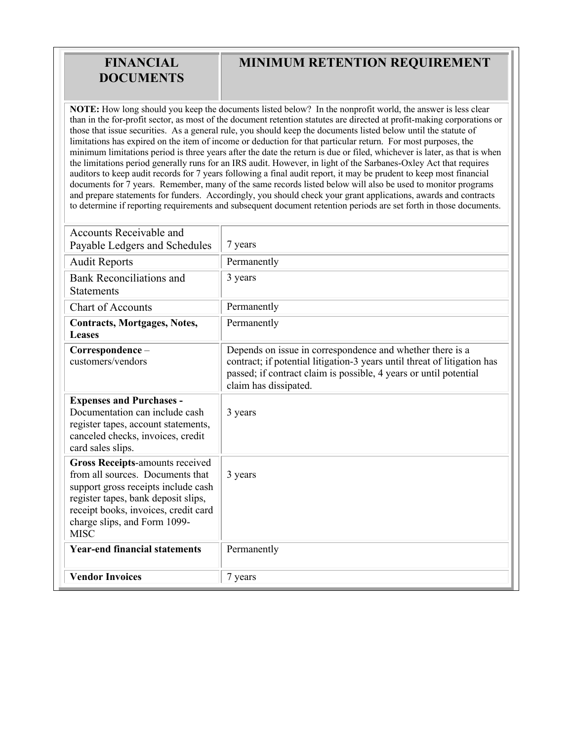## **FINANCIAL DOCUMENTS**

## **MINIMUM RETENTION REQUIREMENT**

**NOTE:** How long should you keep the documents listed below? In the nonprofit world, the answer is less clear than in the for-profit sector, as most of the document retention statutes are directed at profit-making corporations or those that issue securities. As a general rule, you should keep the documents listed below until the statute of limitations has expired on the item of income or deduction for that particular return. For most purposes, the minimum limitations period is three years after the date the return is due or filed, whichever is later, as that is when the limitations period generally runs for an IRS audit. However, in light of the Sarbanes-Oxley Act that requires auditors to keep audit records for 7 years following a final audit report, it may be prudent to keep most financial documents for 7 years. Remember, many of the same records listed below will also be used to monitor programs and prepare statements for funders. Accordingly, you should check your grant applications, awards and contracts to determine if reporting requirements and subsequent document retention periods are set forth in those documents.

| <b>Accounts Receivable and</b><br>Payable Ledgers and Schedules                                                                                                                                                                                 | 7 years                                                                                                                                                                                                                             |
|-------------------------------------------------------------------------------------------------------------------------------------------------------------------------------------------------------------------------------------------------|-------------------------------------------------------------------------------------------------------------------------------------------------------------------------------------------------------------------------------------|
| <b>Audit Reports</b>                                                                                                                                                                                                                            | Permanently                                                                                                                                                                                                                         |
| <b>Bank Reconciliations and</b><br><b>Statements</b>                                                                                                                                                                                            | 3 years                                                                                                                                                                                                                             |
| <b>Chart of Accounts</b>                                                                                                                                                                                                                        | Permanently                                                                                                                                                                                                                         |
| <b>Contracts, Mortgages, Notes,</b><br><b>Leases</b>                                                                                                                                                                                            | Permanently                                                                                                                                                                                                                         |
| Correspondence-<br>customers/vendors                                                                                                                                                                                                            | Depends on issue in correspondence and whether there is a<br>contract; if potential litigation-3 years until threat of litigation has<br>passed; if contract claim is possible, 4 years or until potential<br>claim has dissipated. |
| <b>Expenses and Purchases -</b><br>Documentation can include cash<br>register tapes, account statements,<br>canceled checks, invoices, credit<br>card sales slips.                                                                              | 3 years                                                                                                                                                                                                                             |
| <b>Gross Receipts-amounts received</b><br>from all sources. Documents that<br>support gross receipts include cash<br>register tapes, bank deposit slips,<br>receipt books, invoices, credit card<br>charge slips, and Form 1099-<br><b>MISC</b> | 3 years                                                                                                                                                                                                                             |
| <b>Year-end financial statements</b>                                                                                                                                                                                                            | Permanently                                                                                                                                                                                                                         |
| <b>Vendor Invoices</b>                                                                                                                                                                                                                          | 7 years                                                                                                                                                                                                                             |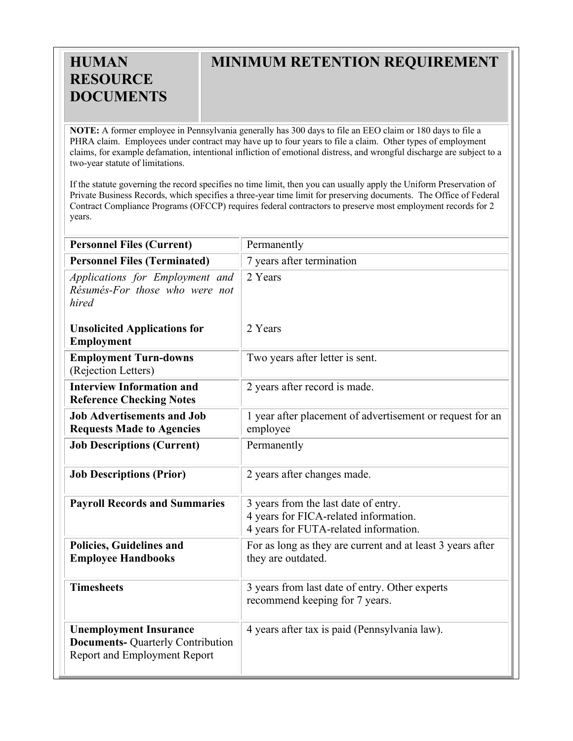# **MINIMUM RETENTION REQUIREMENT**

**NOTE:** A former employee in Pennsylvania generally has 300 days to file an EEO claim or 180 days to file a PHRA claim. Employees under contract may have up to four years to file a claim. Other types of employment claims, for example defamation, intentional infliction of emotional distress, and wrongful discharge are subject to a two-year statute of limitations.

**HUMAN** 

**RESOURCE DOCUMENTS**

If the statute governing the record specifies no time limit, then you can usually apply the Uniform Preservation of Private Business Records, which specifies a three-year time limit for preserving documents. The Office of Federal Contract Compliance Programs (OFCCP) requires federal contractors to preserve most employment records for 2 years.

| <b>Personnel Files (Current)</b>                                                                          | Permanently                                                                                                            |
|-----------------------------------------------------------------------------------------------------------|------------------------------------------------------------------------------------------------------------------------|
| <b>Personnel Files (Terminated)</b>                                                                       | 7 years after termination                                                                                              |
| Applications for Employment and<br>Résumés-For those who were not<br>hired                                | 2 Years                                                                                                                |
| <b>Unsolicited Applications for</b><br>Employment                                                         | 2 Years                                                                                                                |
| <b>Employment Turn-downs</b><br>(Rejection Letters)                                                       | Two years after letter is sent.                                                                                        |
| <b>Interview Information and</b><br><b>Reference Checking Notes</b>                                       | 2 years after record is made.                                                                                          |
| <b>Job Advertisements and Job</b><br><b>Requests Made to Agencies</b>                                     | 1 year after placement of advertisement or request for an<br>employee                                                  |
| <b>Job Descriptions (Current)</b>                                                                         | Permanently                                                                                                            |
| <b>Job Descriptions (Prior)</b>                                                                           | 2 years after changes made.                                                                                            |
| <b>Payroll Records and Summaries</b>                                                                      | 3 years from the last date of entry.<br>4 years for FICA-related information.<br>4 years for FUTA-related information. |
| Policies, Guidelines and<br><b>Employee Handbooks</b>                                                     | For as long as they are current and at least 3 years after<br>they are outdated.                                       |
| <b>Timesheets</b>                                                                                         | 3 years from last date of entry. Other experts<br>recommend keeping for 7 years.                                       |
| <b>Unemployment Insurance</b><br><b>Documents- Quarterly Contribution</b><br>Report and Employment Report | 4 years after tax is paid (Pennsylvania law).                                                                          |